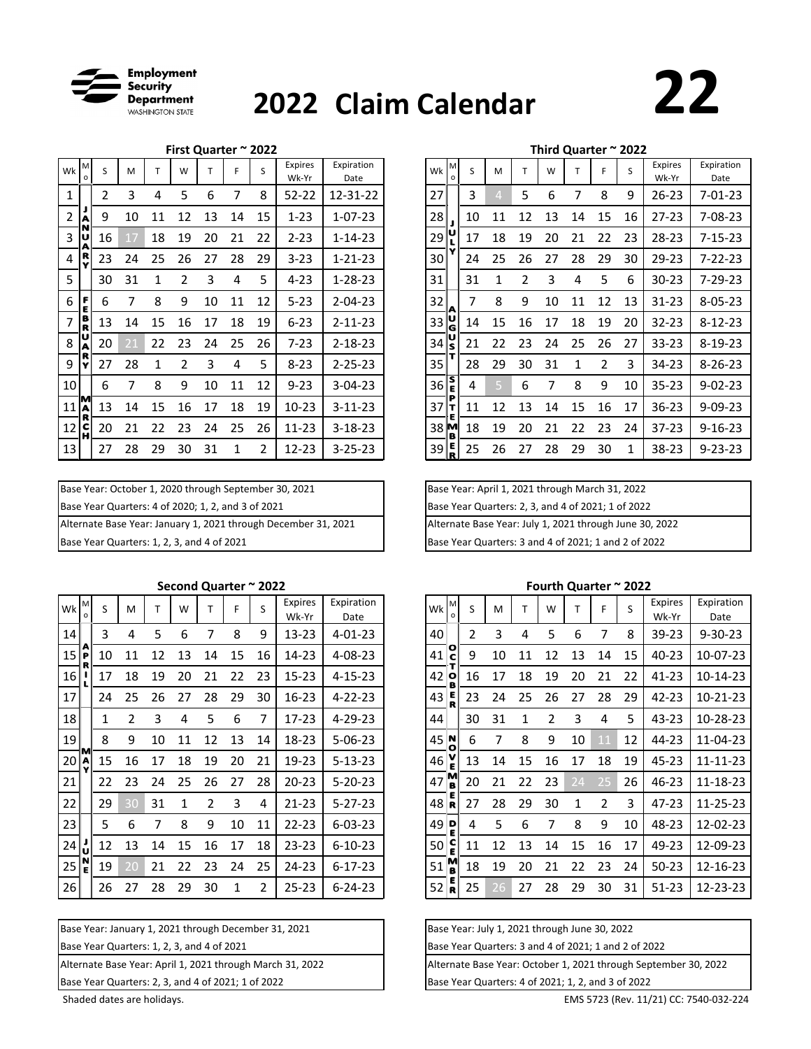

# **Claim Calendar <sup>2022</sup> 22**

|                |              |    |    |    |    |    |    |    |                         |                    |                 | Third Quarter ~ 2022 |    |    |               |    |    |    |    |                  |                    |
|----------------|--------------|----|----|----|----|----|----|----|-------------------------|--------------------|-----------------|----------------------|----|----|---------------|----|----|----|----|------------------|--------------------|
| Wk             | M<br>$\circ$ | S  | M  |    | W  |    |    | S  | <b>Expires</b><br>Wk-Yr | Expiration<br>Date | Wk              | M<br>$\Omega$        | S  | М  |               | W  |    |    | S. | Expires<br>Wk-Yr | Expiration<br>Date |
| 1              |              | 2  | 3  | 4  | 5  | 6  |    | 8  | $52 - 22$               | 12-31-22           | 27              |                      | 3  | 4  | 5             | 6  |    | 8  | 9  | $26 - 23$        | $7 - 01 - 23$      |
| $\overline{2}$ | А            | 9  | 10 | 11 | 12 | 13 | 14 | 15 | $1 - 23$                | $1 - 07 - 23$      | 28              |                      | 10 | 11 | 12            | 13 | 14 | 15 | 16 | $27 - 23$        | 7-08-23            |
| 3              |              | 16 | 17 | 18 | 19 | 20 | 21 | 22 | $2 - 23$                | $1 - 14 - 23$      | 29              |                      | 17 | 18 | 19            | 20 | 21 | 22 | 23 | 28-23            | $7 - 15 - 23$      |
| 4              | R<br>v       | 23 | 24 | 25 | 26 | 27 | 28 | 29 | $3 - 23$                | $1 - 21 - 23$      | 30              |                      | 24 | 25 | 26            | 27 | 28 | 29 | 30 | 29-23            | $7 - 22 - 23$      |
| 5              |              | 30 | 31 |    | 2  | 3  | 4  | 5  | $4 - 23$                | $1 - 28 - 23$      | 31              |                      | 31 | 1  | $\mathcal{P}$ | 3  | 4  | 5  | 6  | $30 - 23$        | 7-29-23            |
| 6              | F<br>E       | 6  | 7  | 8  | 9  | 10 | 11 | 12 | $5 - 23$                | $2 - 04 - 23$      | 32              |                      | 7  | 8  | 9             | 10 | 11 | 12 | 13 | $31 - 23$        | $8 - 05 - 23$      |
| $\overline{7}$ | B<br>R       | 13 | 14 | 15 | 16 | 17 | 18 | 19 | $6 - 23$                | $2 - 11 - 23$      | $33\frac{U}{G}$ |                      | 14 | 15 | 16            | 17 | 18 | 19 | 20 | $32 - 23$        | $8 - 12 - 23$      |
| 8              | А            | 20 | 21 | 22 | 23 | 24 | 25 | 26 | $7 - 23$                | $2 - 18 - 23$      | 34              | s                    | 21 | 22 | 23            | 24 | 25 | 26 | 27 | $33 - 23$        | 8-19-23            |
| 9              | v            | 27 | 28 |    | 2  | 3  | 4  | 5  | $8 - 23$                | $2 - 25 - 23$      | 35              |                      | 28 | 29 | 30            | 31 | 1  | 2  | 3  | 34-23            | $8 - 26 - 23$      |
| 10             |              | 6  | 7  | 8  | 9  | 10 | 11 | 12 | $9 - 23$                | $3 - 04 - 23$      | 36              | ηs.                  | 4  | -5 | 6             | 7  | 8  | 9  | 10 | $35 - 23$        | $9 - 02 - 23$      |
| 11             | м<br>R       | 13 | 14 | 15 | 16 | 17 | 18 | 19 | $10 - 23$               | $3 - 11 - 23$      | 37              |                      | 11 | 12 | 13            | 14 | 15 | 16 | 17 | $36 - 23$        | $9 - 09 - 23$      |
| 12             | c<br>н       | 20 | 21 | 22 | 23 | 24 | 25 | 26 | $11 - 23$               | $3 - 18 - 23$      | 38M             |                      | 18 | 19 | 20            | 21 | 22 | 23 | 24 | $37 - 23$        | $9 - 16 - 23$      |
| 13             |              | 27 | 28 | 29 | 30 | 31 | 1  | 2  | $12 - 23$               | $3 - 25 - 23$      | 39              | E<br>R               | 25 | 26 | 27            | 28 | 29 | 30 |    | 38-23            | $9 - 23 - 23$      |

| Base Year: October 1, 2020 through September 30, 2021          | Base Year: April 1, 2021 through March 31, 2022         |
|----------------------------------------------------------------|---------------------------------------------------------|
| Base Year Quarters: 4 of 2020; 1, 2, and 3 of 2021             | Base Year Quarters: 2, 3, and 4 of 2021; 1 of 2022      |
| Alternate Base Year: January 1, 2021 through December 31, 2021 | Alternate Base Year: July 1, 2021 through June 30, 2022 |
| Base Year Quarters: 1, 2, 3, and 4 of 2021                     | Base Year Quarters: 3 and 4 of 2021; 1 and 2 of 2022    |

### **Second Quarter ~ 2022**

| Wk <sup>M</sup> | $\Omega$ | S  | M             |    | W  |    | F  | S  | <b>Expires</b><br>Wk-Yr | Expiration<br>Date | <b>Wk</b>         | М             | S              | M  |    | W  |    | F  | S. | <b>Expires</b><br>Wk-Yr | Expiration<br>Date |
|-----------------|----------|----|---------------|----|----|----|----|----|-------------------------|--------------------|-------------------|---------------|----------------|----|----|----|----|----|----|-------------------------|--------------------|
| 14              |          | 3  | 4             | 5  | 6  |    | 8  | 9  | 13-23                   | $4 - 01 - 23$      | 40                |               | $\overline{2}$ | 3  | 4  | 5  | 6  |    | 8  | 39-23                   | $9 - 30 - 23$      |
| 15              | A<br>P   | 10 | 11            | 12 | 13 | 14 | 15 | 16 | 14-23                   | $4 - 08 - 23$      | 41                | $\frac{1}{2}$ | 9              | 10 | 11 | 12 | 13 | 14 | 15 | 40-23                   | $10-07-2$          |
| 16              |          | 17 | 18            | 19 | 20 | 21 | 22 | 23 | $15 - 23$               | $4 - 15 - 23$      | 42                | О             | 16             | 17 | 18 | 19 | 20 | 21 | 22 | 41-23                   | $10 - 14 - 2$      |
| 17              |          | 24 | 25            | 26 | 27 | 28 | 29 | 30 | $16 - 23$               | $4 - 22 - 23$      | 43                |               | 23             | 24 | 25 | 26 | 27 | 28 | 29 | $42 - 23$               | $10 - 21 - 21$     |
| 18              |          |    | $\mathfrak z$ | 3  | 4  | 5  | 6  | 7  | $17 - 23$               | $4 - 29 - 23$      | 44                |               | 30             | 31 |    | 2  | 3  | 4  | 5  | 43-23                   | 10-28-2            |
| 19              |          | 8  | 9             | 10 | 11 | 12 | 13 | 14 | 18-23                   | $5 - 06 - 23$      | $45$ <sup>N</sup> |               | 6              |    | 8  | 9  | 10 | 11 | 12 | 44-23                   | $11-04-2$          |
| 20 <sup>1</sup> |          | 15 | 16            | 17 | 18 | 19 | 20 | 21 | 19-23                   | $5 - 13 - 23$      | 46                |               | 13             | 14 | 15 | 16 | 17 | 18 | 19 | 45-23                   | $11 - 11 - 2$      |
| 21              |          | 22 | 23            | 24 | 25 | 26 | 27 | 28 | $20 - 23$               | $5 - 20 - 23$      | 47                | M<br>B        | 20             | 21 | 22 | 23 | 24 | 25 | 26 | 46-23                   | $11 - 18 - 2$      |
| 22              |          | 29 | 30            | 31 |    |    | 3  | 4  | $21 - 23$               | $5 - 27 - 23$      | 48                | R             | 27             | 28 | 29 | 30 |    | 2  | 3  | 47-23                   | $11 - 25 - 21$     |
| 23              |          | 5. | 6             |    | 8  | 9  | 10 | 11 | $22 - 23$               | $6 - 03 - 23$      | 49                | D             | 4              | 5  | 6  | 7  | 8  | 9  | 10 | 48-23                   | $12 - 02 - 2$      |
| 24              |          | 12 | 13            | 14 | 15 | 16 | 17 | 18 | $23 - 23$               | $6 - 10 - 23$      | 50                | ΙC            | 11             | 12 | 13 | 14 | 15 | 16 | 17 | 49-23                   | 12-09-2            |
| 25              |          | 19 | 20            | 21 | 22 | 23 | 24 | 25 | 24-23                   | $6 - 17 - 23$      | 51                | M             | 18             | 19 | 20 | 21 | 22 | 23 | 24 | $50 - 23$               | $12 - 16 - 2$      |
| 26              |          | 26 | 27            | 28 | 29 | 30 |    | 2  | $25 - 23$               | $6 - 24 - 23$      | 52                | R             | 25             | 26 | 27 | 28 | 29 | 30 | 31 | $51 - 23$               | $12 - 23 - 21$     |

| Base Year: January 1, 2021 through December 31, 2021      | Base Year: July 1, 2021 through June 30, 2022           |
|-----------------------------------------------------------|---------------------------------------------------------|
| Base Year Quarters: 1, 2, 3, and 4 of 2021                | Base Year Quarters: 3 and 4 of 2021; 1 and 2            |
| Alternate Base Year: April 1, 2021 through March 31, 2022 | Alternate Base Year: October 1, 2021 through            |
|                                                           | $\sim$ $\sim$ $\sim$ $\sim$ $\sim$ $\sim$ $\sim$ $\sim$ |

Base Year Quarters: 2, 3, and 4 of 2021; 1 of 2022 **Base Year Quarters: 4 of 2021**; 1, 2, and 3 of 2022

|    |             |    |                |                |    | ınıra Quarter |    | ZUZZ |                         |                    |
|----|-------------|----|----------------|----------------|----|---------------|----|------|-------------------------|--------------------|
| Wk | M<br>o      | S  | M              | Т              | W  | Т             | F  | S    | <b>Expires</b><br>Wk-Yr | Expiration<br>Date |
| 27 |             | 3  | $\overline{4}$ | 5              | 6  | 7             | 8  | 9    | 26-23                   | $7 - 01 - 23$      |
| 28 | J           | 10 | 11             | 12             | 13 | 14            | 15 | 16   | 27-23                   | 7-08-23            |
| 29 | υ<br>L      | 17 | 18             | 19             | 20 | 21            | 22 | 23   | 28-23                   | $7 - 15 - 23$      |
| 30 | Y           | 24 | 25             | 26             | 27 | 28            | 29 | 30   | 29-23                   | $7 - 22 - 23$      |
| 31 |             | 31 | 1              | $\overline{2}$ | 3  | 4             | 5  | 6    | 30-23                   | 7-29-23            |
| 32 | A           | 7  | 8              | 9              | 10 | 11            | 12 | 13   | $31 - 23$               | $8 - 05 - 23$      |
| 33 | υ<br>G      | 14 | 15             | 16             | 17 | 18            | 19 | 20   | 32-23                   | $8 - 12 - 23$      |
| 34 | u<br>S      | 21 | 22             | 23             | 24 | 25            | 26 | 27   | $33 - 23$               | 8-19-23            |
| 35 | т           | 28 | 29             | 30             | 31 | 1             | 2  | 3    | 34-23                   | $8 - 26 - 23$      |
| 36 | 5<br>E      | 4  | 5              | 6              | 7  | 8             | 9  | 10   | $35 - 23$               | $9 - 02 - 23$      |
| 37 | P<br>т<br>E | 11 | 12             | 13             | 14 | 15            | 16 | 17   | 36-23                   | $9 - 09 - 23$      |
| 38 | м<br>в      | 18 | 19             | 20             | 21 | 22            | 23 | 24   | $37 - 23$               | $9 - 16 - 23$      |
| 39 | Е<br>R      | 25 | 26             | 27             | 28 | 29            | 30 | 1    | 38-23                   | $9 - 23 - 23$      |

#### **Fourth Quarter ~ 2022**

| Wk     | M<br>$\Omega$ | S  | M  |    | W  |    |              | S  | <b>Expires</b><br>Wk-Yr | Expiration<br>Date | Wk | М<br>$\circ$              | S  | M  |    | W  |    | F  | S  | <b>Expires</b><br>Wk-Yr | Expiration<br>Date |
|--------|---------------|----|----|----|----|----|--------------|----|-------------------------|--------------------|----|---------------------------|----|----|----|----|----|----|----|-------------------------|--------------------|
| 14     |               | 3  | 4  | 5  | 6  |    | 8            | 9  | 13-23                   | $4 - 01 - 23$      | 40 |                           | 2  | 3  | 4  | 5  | 6  |    | 8  | 39-23                   | $9 - 30 - 23$      |
| 15     | IР            | 10 | 11 | 12 | 13 | 14 | 15           | 16 | $14-23$                 | $4 - 08 - 23$      | 41 | င်                        | 9  | 10 | 11 | 12 | 13 | 14 | 15 | 40-23                   | 10-07-23           |
| 16     |               | 17 | 18 | 19 | 20 | 21 | 22           | 23 | $15 - 23$               | $4 - 15 - 23$      | 42 | o                         | 16 | 17 | 18 | 19 | 20 | 21 | 22 | 41-23                   | 10-14-23           |
| 17     |               | 24 | 25 | 26 | 27 | 28 | 29           | 30 | $16 - 23$               | $4 - 22 - 23$      | 43 | E<br>R                    | 23 | 24 | 25 | 26 | 27 | 28 | 29 | 42-23                   | 10-21-23           |
| 18     |               | 1  |    | 3  | 4  | 5  | 6            | 7  | $17-23$                 | $4 - 29 - 23$      | 44 |                           | 30 | 31 | 1  | 2  | 3  | 4  | 5  | 43-23                   | 10-28-23           |
| 19     |               | 8  | 9  | 10 | 11 | 12 | 13           | 14 | 18-23                   | $5 - 06 - 23$      | 45 | N                         | 6  |    | 8  | 9  | 10 |    | 12 | 44-23                   | 11-04-23           |
| $20$ A | M<br>v        | 15 | 16 | 17 | 18 | 19 | 20           | 21 | 19-23                   | $5 - 13 - 23$      | 46 | E                         | 13 | 14 | 15 | 16 | 17 | 18 | 19 | 45-23                   | 11-11-23           |
| 21     |               | 22 | 23 | 24 | 25 | 26 | 27           | 28 | $20 - 23$               | $5 - 20 - 23$      | 47 | M<br>B                    | 20 | 21 | 22 | 23 | 24 | 25 | 26 | 46-23                   | 11-18-23           |
| 22     |               | 29 | 30 | 31 |    | 2  | 3            | 4  | $21 - 23$               | $5 - 27 - 23$      | 48 | R                         | 27 | 28 | 29 | 30 |    | 2  | 3  | 47-23                   | 11-25-23           |
| 23     |               | 5  | 6  | 7  | 8  | 9  | 10           | 11 | $22 - 23$               | $6 - 03 - 23$      | 49 | $\mathsf{P}_{\mathsf{E}}$ | 4  | 5  | 6  |    | 8  | 9  | 10 | 48-23                   | 12-02-23           |
| 24     | IJ            | 12 | 13 | 14 | 15 | 16 | 17           | 18 | $23 - 23$               | $6 - 10 - 23$      | 50 | c                         | 11 | 12 | 13 | 14 | 15 | 16 | 17 | 49-23                   | 12-09-23           |
| 25     | 'N<br>E       | 19 | 20 | 21 | 22 | 23 | 24           | 25 | 24-23                   | $6 - 17 - 23$      | 51 | M                         | 18 | 19 | 20 | 21 | 22 | 23 | 24 | $50 - 23$               | 12-16-23           |
| 26     |               | 26 | 27 | 28 | 29 | 30 | $\mathbf{1}$ | 2  | $25 - 23$               | $6 - 24 - 23$      | 52 | R                         | 25 | 26 | 27 | 28 | 29 | 30 | 31 | $51 - 23$               | 12-23-23           |

| Base Year: July 1, 2021 through June 30, 2022        |  |
|------------------------------------------------------|--|
| Base Year Quarters: 3 and 4 of 2021; 1 and 2 of 2022 |  |

Alternate Base Year: October 1, 2021 through September 30, 2022

Shaded dates are holidays. EMS 5723 (Rev. 11/21) CC: 7540-032-224